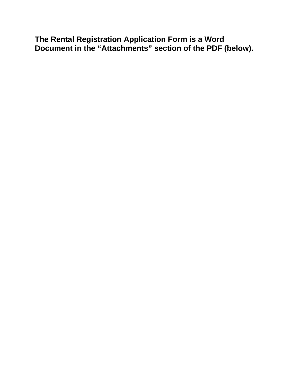### **The Rental Registration Application Form is a Word Document in the "Attachments" section of the PDF (below).**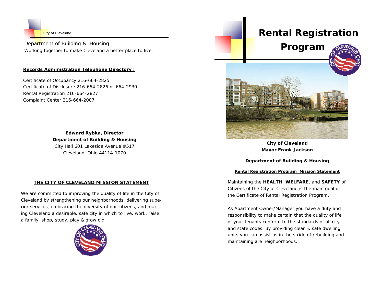

Department of Building & Housing *Working together to make Cleveland a better place to live.* 

#### **Records Administration Telephone Directory :**

Certificate of Occupancy 216-664-2825 Certificate of Disclosure 216-664-2826 or 664-2930 Rental Registration 216-664-2827 Complaint Center 216-664-2007

> **Edward Rybka, Director Department of Building & Housing** City Hall 601 Lakeside Avenue #517 Cleveland, Ohio 44114-1070

#### **THE CITY OF CLEVELAND MISSION STATEMENT**

*We are committed to improving the quality of life in the City of Cleveland by strengthening our neighborhoods, delivering superior services, embracing the diversity of our citizens, and making Cleveland a desirable, safe city in which to live, work, raise a family, shop, study, play & grow old.* 



# **Rental Registration**

## **Program**





**City of Cleveland Mayor Frank Jackson** 

#### **Department of Building & Housing**

#### **Rental Registration Program Mission Statement**

*Maintaining the HEALTH, WELFARE, and SAFETY of Citizens of the City of Cleveland is the main goal of the Certificate of Rental Registration Program.* 

*As Apartment Owner/Manager you have a duty and responsibility to make certain that the quality of life of your tenants conform to the standards of all city and state codes. By providing clean & safe dwelling units you can assist us in the stride of rebuilding and maintaining are neighborhoods.*